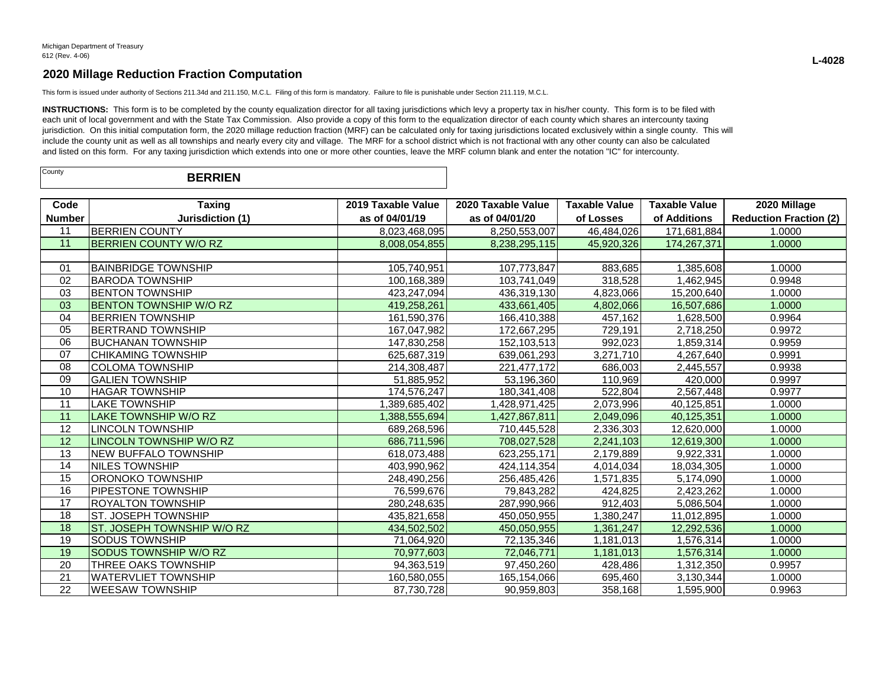This form is issued under authority of Sections 211.34d and 211.150, M.C.L. Filing of this form is mandatory. Failure to file is punishable under Section 211.119, M.C.L.

INSTRUCTIONS: This form is to be completed by the county equalization director for all taxing jurisdictions which levy a property tax in his/her county. This form is to be filed with each unit of local government and with the State Tax Commission. Also provide a copy of this form to the equalization director of each county which shares an intercounty taxing jurisdiction. On this initial computation form, the 2020 millage reduction fraction (MRF) can be calculated only for taxing jurisdictions located exclusively within a single county. This will include the county unit as well as all townships and nearly every city and village. The MRF for a school district which is not fractional with any other county can also be calculated and listed on this form. For any taxing jurisdiction which extends into one or more other counties, leave the MRF column blank and enter the notation "IC" for intercounty.

| County | <b>BERRIEN</b> |  |
|--------|----------------|--|
|--------|----------------|--|

| Code            | <b>Taxing</b>                  | 2019 Taxable Value | 2020 Taxable Value | <b>Taxable Value</b> | <b>Taxable Value</b> | 2020 Millage                  |
|-----------------|--------------------------------|--------------------|--------------------|----------------------|----------------------|-------------------------------|
| <b>Number</b>   | Jurisdiction (1)               | as of 04/01/19     | as of 04/01/20     | of Losses            | of Additions         | <b>Reduction Fraction (2)</b> |
| 11              | <b>BERRIEN COUNTY</b>          | 8,023,468,095      | 8,250,553,007      | 46,484,026           | 171,681,884          | 1.0000                        |
| 11              | <b>BERRIEN COUNTY W/O RZ</b>   | 8,008,054,855      | 8,238,295,115      | 45,920,326           | 174,267,371          | 1.0000                        |
|                 |                                |                    |                    |                      |                      |                               |
| 01              | IBAINBRIDGE TOWNSHIP           | 105,740,951        | 107,773,847        | 883,685              | 1,385,608            | 1.0000                        |
| 02              | <b>BARODA TOWNSHIP</b>         | 100,168,389        | 103,741,049        | 318,528              | 1,462,945            | 0.9948                        |
| 03              | <b>IBENTON TOWNSHIP</b>        | 423,247,094        | 436,319,130        | 4,823,066            | 15,200,640           | 1.0000                        |
| 03              | <b>BENTON TOWNSHIP W/O RZ</b>  | 419,258,261        | 433,661,405        | 4,802,066            | 16.507.686           | 1.0000                        |
| 04              | <b>BERRIEN TOWNSHIP</b>        | 161,590,376        | 166,410,388        | 457,162              | 1,628,500            | 0.9964                        |
| 05              | IBERTRAND TOWNSHIP             | 167,047,982        | 172,667,295        | 729,191              | 2,718,250            | 0.9972                        |
| 06              | IBUCHANAN TOWNSHIP             | 147,830,258        | 152,103,513        | 992,023              | 1,859,314            | 0.9959                        |
| 07              | <b>CHIKAMING TOWNSHIP</b>      | 625,687,319        | 639,061,293        | 3,271,710            | 4,267,640            | 0.9991                        |
| 08              | <b>COLOMA TOWNSHIP</b>         | 214,308,487        | 221,477,172        | 686,003              | 2,445,557            | 0.9938                        |
| 09              | <b>GALIEN TOWNSHIP</b>         | 51,885,952         | 53,196,360         | 110,969              | 420,000              | 0.9997                        |
| 10              | <b>HAGAR TOWNSHIP</b>          | 174,576,247        | 180,341,408        | 522,804              | 2,567,448            | 0.9977                        |
| 11              | <b>LAKE TOWNSHIP</b>           | 1,389,685,402      | 1,428,971,425      | 2,073,996            | 40,125,851           | 1.0000                        |
| 11              | LAKE TOWNSHIP W/O RZ           | 1,388,555,694      | 1,427,867,811      | 2,049,096            | 40,125,351           | 1.0000                        |
| 12              | <b>LINCOLN TOWNSHIP</b>        | 689,268,596        | 710,445,528        | 2,336,303            | 12,620,000           | 1.0000                        |
| 12              | <b>LINCOLN TOWNSHIP W/O RZ</b> | 686,711,596        | 708,027,528        | 2,241,103            | 12,619,300           | 1.0000                        |
| 13              | INEW BUFFALO TOWNSHIP          | 618,073,488        | 623,255,171        | 2,179,889            | 9,922,331            | 1.0000                        |
| 14              | INILES TOWNSHIP                | 403,990,962        | 424,114,354        | 4,014,034            | 18,034,305           | 1.0000                        |
| $\overline{15}$ | ORONOKO TOWNSHIP               | 248,490,256        | 256,485,426        | 1,571,835            | 5,174,090            | 1.0000                        |
| 16              | <b>PIPESTONE TOWNSHIP</b>      | 76,599,676         | 79,843,282         | 424,825              | 2,423,262            | 1.0000                        |
| 17              | IROYALTON TOWNSHIP             | 280,248,635        | 287,990,966        | 912,403              | 5,086,504            | 1.0000                        |
| 18              | ST. JOSEPH TOWNSHIP            | 435,821,658        | 450,050,955        | 1,380,247            | 11,012,895           | 1.0000                        |
| 18              | ST. JOSEPH TOWNSHIP W/O RZ     | 434,502,502        | 450,050,955        | 1,361,247            | 12,292,536           | 1.0000                        |
| 19              | <b>SODUS TOWNSHIP</b>          | 71,064,920         | 72,135,346         | 1,181,013            | 1,576,314            | 1.0000                        |
| 19              | <b>SODUS TOWNSHIP W/O RZ</b>   | 70,977,603         | 72,046,771         | 1,181,013            | 1,576,314            | 1.0000                        |
| 20              | THREE OAKS TOWNSHIP            | 94,363,519         | 97,450,260         | 428,486              | 1,312,350            | 0.9957                        |
| 21              | <b>WATERVLIET TOWNSHIP</b>     | 160,580,055        | 165,154,066        | 695,460              | 3,130,344            | 1.0000                        |
| 22              | <b>WEESAW TOWNSHIP</b>         | 87,730,728         | 90,959,803         | 358,168              | 1,595,900            | 0.9963                        |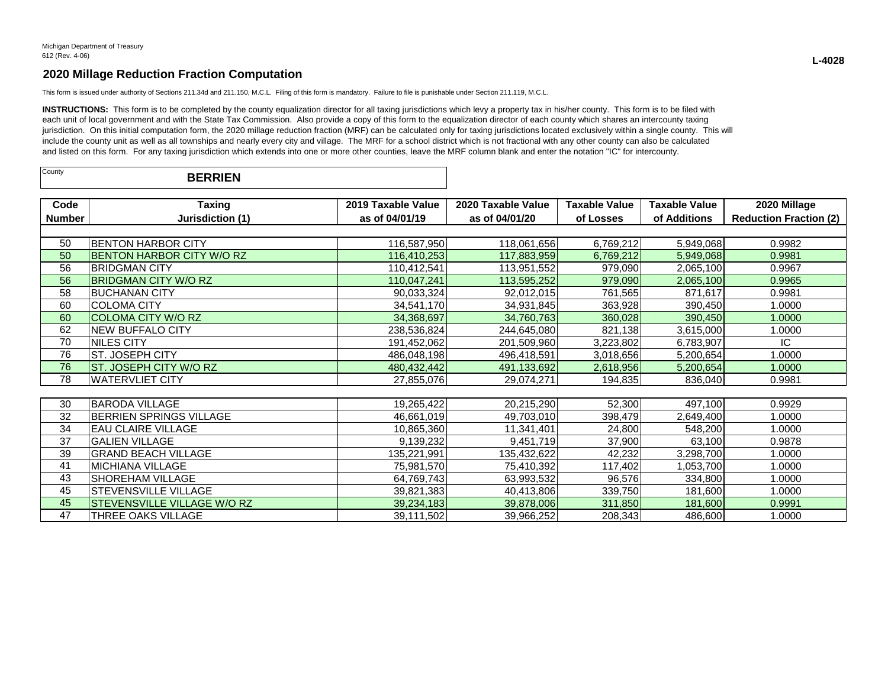This form is issued under authority of Sections 211.34d and 211.150, M.C.L. Filing of this form is mandatory. Failure to file is punishable under Section 211.119, M.C.L.

INSTRUCTIONS: This form is to be completed by the county equalization director for all taxing jurisdictions which levy a property tax in his/her county. This form is to be filed with each unit of local government and with the State Tax Commission. Also provide a copy of this form to the equalization director of each county which shares an intercounty taxing jurisdiction. On this initial computation form, the 2020 millage reduction fraction (MRF) can be calculated only for taxing jurisdictions located exclusively within a single county. This will include the county unit as well as all townships and nearly every city and village. The MRF for a school district which is not fractional with any other county can also be calculated and listed on this form. For any taxing jurisdiction which extends into one or more other counties, leave the MRF column blank and enter the notation "IC" for intercounty.

| County<br><b>BERRIEN</b> |  |  |
|--------------------------|--|--|
|--------------------------|--|--|

| Code   | <b>Taxing</b>                      | 2019 Taxable Value | 2020 Taxable Value | <b>Taxable Value</b> | <b>Taxable Value</b> | 2020 Millage                  |
|--------|------------------------------------|--------------------|--------------------|----------------------|----------------------|-------------------------------|
| Number | Jurisdiction (1)                   | as of 04/01/19     | as of 04/01/20     | of Losses            | of Additions         | <b>Reduction Fraction (2)</b> |
|        |                                    |                    |                    |                      |                      |                               |
| 50     | <b>BENTON HARBOR CITY</b>          | 116,587,950        | 118,061,656        | 6,769,212            | 5,949,068            | 0.9982                        |
| 50     | <b>BENTON HARBOR CITY W/O RZ</b>   | 116,410,253        | 117,883,959        | 6,769,212            | 5,949,068            | 0.9981                        |
| 56     | <b>BRIDGMAN CITY</b>               | 110,412,541        | 113,951,552        | 979,090              | 2,065,100            | 0.9967                        |
| 56     | <b>BRIDGMAN CITY W/O RZ</b>        | 110,047,241        | 113,595,252        | 979,090              | 2,065,100            | 0.9965                        |
| 58     | <b>BUCHANAN CITY</b>               | 90,033,324         | 92,012,015         | 761,565              | 871,617              | 0.9981                        |
| 60     | <b>COLOMA CITY</b>                 | 34,541,170         | 34,931,845         | 363,928              | 390,450              | 1.0000                        |
| 60     | <b>COLOMA CITY W/O RZ</b>          | 34,368,697         | 34,760,763         | 360,028              | 390,450              | 1.0000                        |
| 62     | <b>NEW BUFFALO CITY</b>            | 238,536,824        | 244,645,080        | 821,138              | 3,615,000            | 1.0000                        |
| 70     | NILES CITY                         | 191,452,062        | 201,509,960        | 3,223,802            | 6,783,907            | IC.                           |
| 76     | ST. JOSEPH CITY                    | 486,048,198        | 496,418,591        | 3,018,656            | 5,200,654            | 1.0000                        |
| 76     | ST. JOSEPH CITY W/O RZ             | 480, 432, 442      | 491,133,692        | 2,618,956            | 5,200,654            | 1.0000                        |
| 78     | <b>WATERVLIET CITY</b>             | 27,855,076         | 29,074,271         | 194,835              | 836,040              | 0.9981                        |
|        |                                    |                    |                    |                      |                      |                               |
| 30     | <b>BARODA VILLAGE</b>              | 19,265,422         | 20,215,290         | 52,300               | 497,100              | 0.9929                        |
| 32     | BERRIEN SPRINGS VILLAGE            | 46,661,019         | 49,703,010         | 398,479              | 2,649,400            | 1.0000                        |
| 34     | <b>EAU CLAIRE VILLAGE</b>          | 10,865,360         | 11,341,401         | 24,800               | 548,200              | 1.0000                        |
| 37     | <b>GALIEN VILLAGE</b>              | 9,139,232          | 9,451,719          | 37,900               | 63,100               | 0.9878                        |
| 39     | <b>GRAND BEACH VILLAGE</b>         | 135,221,991        | 135,432,622        | 42,232               | 3,298,700            | 1.0000                        |
| 41     | <b>MICHIANA VILLAGE</b>            | 75,981,570         | 75,410,392         | 117,402              | 1,053,700            | 1.0000                        |
| 43     | SHOREHAM VILLAGE                   | 64,769,743         | 63,993,532         | 96,576               | 334,800              | 1.0000                        |
| 45     | STEVENSVILLE VILLAGE               | 39,821,383         | 40,413,806         | 339,750              | 181,600              | 1.0000                        |
| 45     | <b>STEVENSVILLE VILLAGE W/O RZ</b> | 39,234,183         | 39,878,006         | 311,850              | 181,600              | 0.9991                        |
| 47     | THREE OAKS VILLAGE                 | 39,111,502         | 39,966,252         | 208,343              | 486,600              | 1.0000                        |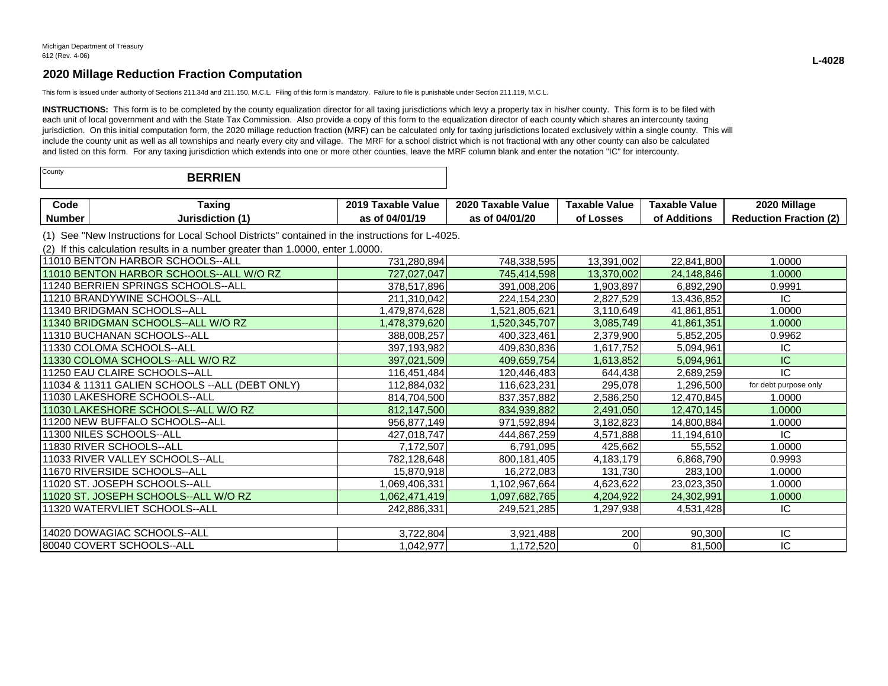This form is issued under authority of Sections 211.34d and 211.150, M.C.L. Filing of this form is mandatory. Failure to file is punishable under Section 211.119, M.C.L.

INSTRUCTIONS: This form is to be completed by the county equalization director for all taxing jurisdictions which levy a property tax in his/her county. This form is to be filed with each unit of local government and with the State Tax Commission. Also provide a copy of this form to the equalization director of each county which shares an intercounty taxing jurisdiction. On this initial computation form, the 2020 millage reduction fraction (MRF) can be calculated only for taxing jurisdictions located exclusively within a single county. This will include the county unit as well as all townships and nearly every city and village. The MRF for a school district which is not fractional with any other county can also be calculated and listed on this form. For any taxing jurisdiction which extends into one or more other counties, leave the MRF column blank and enter the notation "IC" for intercounty.

| County | <b>BERRIEN</b> |
|--------|----------------|
|--------|----------------|

| Code   | raxinc       | 2019<br><b>Value</b><br>i axable | 2020<br>. Taxabl⁄<br>Value | Value<br>Taxable | Value<br><b>Taxable</b>                   | 2020 Millage                                |
|--------|--------------|----------------------------------|----------------------------|------------------|-------------------------------------------|---------------------------------------------|
| Number | Jurisdiction | AINA IA                          | 04/01/20<br>               | _osses           | $\mathbf{r}$ . The set<br>Additions<br>О1 | $\sim$<br>Ernetier<br>duction<br>Rec<br>auu |

(1) See "New Instructions for Local School Districts" contained in the instructions for L-4025.

(2) If this calculation results in a number greater than 1.0000, enter 1.0000.

| 111010 BENTON HARBOR SCHOOLS--ALL               | 731,280,894   | 748,338,595   | 13,391,002 | 22,841,800 | 1.0000                |
|-------------------------------------------------|---------------|---------------|------------|------------|-----------------------|
| 11010 BENTON HARBOR SCHOOLS--ALL W/O RZ         | 727,027,047   | 745,414,598   | 13,370,002 | 24,148,846 | 1.0000                |
| 11240 BERRIEN SPRINGS SCHOOLS--ALL              | 378,517,896   | 391,008,206   | 1,903,897  | 6,892,290  | 0.9991                |
| 11210 BRANDYWINE SCHOOLS--ALL                   | 211,310,042   | 224,154,230   | 2,827,529  | 13,436,852 | IC                    |
| 11340 BRIDGMAN SCHOOLS--ALL                     | ,479,874,628  | 1,521,805,621 | 3,110,649  | 41,861,851 | 1.0000                |
| 11340 BRIDGMAN SCHOOLS--ALL W/O RZ              | 1,478,379,620 | 1,520,345,707 | 3,085,749  | 41,861,351 | 1.0000                |
| 11310 BUCHANAN SCHOOLS--ALL                     | 388,008,257   | 400,323,461   | 2,379,900  | 5,852,205  | 0.9962                |
| l11330 COLOMA SCHOOLS--ALL                      | 397,193,982   | 409,830,836   | 1,617,752  | 5,094,961  | IC                    |
| 11330 COLOMA SCHOOLS--ALL W/O RZ                | 397,021,509   | 409,659,754   | 1,613,852  | 5,094,961  | IC                    |
| 111250 EAU CLAIRE SCHOOLS--ALL                  | 116,451,484   | 120,446,483   | 644,438    | 2,689,259  | IC                    |
| 11034 & 11311 GALIEN SCHOOLS -- ALL (DEBT ONLY) | 112,884,032   | 116,623,231   | 295,078    | 1,296,500  | for debt purpose only |
| 11030 LAKESHORE SCHOOLS--ALL                    | 814,704,500   | 837, 357, 882 | 2,586,250  | 12,470,845 | 1.0000                |
| 11030 LAKESHORE SCHOOLS--ALL W/O RZ             | 812,147,500   | 834,939,882   | 2,491,050  | 12,470,145 | 1.0000                |
| 11200 NEW BUFFALO SCHOOLS--ALL                  | 956,877,149   | 971,592,894   | 3,182,823  | 14,800,884 | 1.0000                |
| 11300 NILES SCHOOLS--ALL                        | 427,018,747   | 444,867,259   | 4,571,888  | 11,194,610 | IC.                   |
| 11830 RIVER SCHOOLS--ALL                        | 7,172,507     | 6,791,095     | 425,662    | 55,552     | 1.0000                |
| 111033 RIVER VALLEY SCHOOLS--ALL                | 782,128,648   | 800,181,405   | 4,183,179  | 6,868,790  | 0.9993                |
| 11670 RIVERSIDE SCHOOLS--ALL                    | 15,870,918    | 16,272,083    | 131,730    | 283,100    | 1.0000                |
| 11020 ST. JOSEPH SCHOOLS--ALL                   | 1,069,406,331 | 1,102,967,664 | 4,623,622  | 23,023,350 | 1.0000                |
| 11020 ST. JOSEPH SCHOOLS--ALL W/O RZ            | 1,062,471,419 | 1,097,682,765 | 4,204,922  | 24,302,991 | 1.0000                |
| 11320 WATERVLIET SCHOOLS--ALL                   | 242,886,331   | 249,521,285   | 1,297,938  | 4,531,428  | IC                    |
|                                                 |               |               |            |            |                       |
| 14020 DOWAGIAC SCHOOLS--ALL                     | 3,722,804     | 3,921,488     | 200        | 90,300     | IC.                   |
| 80040 COVERT SCHOOLS--ALL                       | 1,042,977     | 1,172,520     |            | 81,500     | IC                    |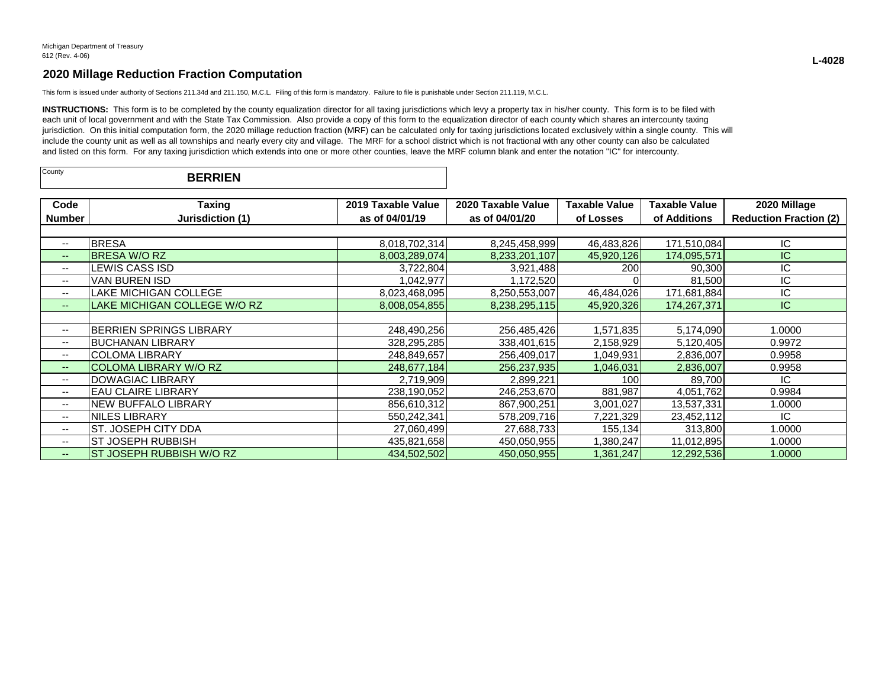This form is issued under authority of Sections 211.34d and 211.150, M.C.L. Filing of this form is mandatory. Failure to file is punishable under Section 211.119, M.C.L.

INSTRUCTIONS: This form is to be completed by the county equalization director for all taxing jurisdictions which levy a property tax in his/her county. This form is to be filed with each unit of local government and with the State Tax Commission. Also provide a copy of this form to the equalization director of each county which shares an intercounty taxing jurisdiction. On this initial computation form, the 2020 millage reduction fraction (MRF) can be calculated only for taxing jurisdictions located exclusively within a single county. This will include the county unit as well as all townships and nearly every city and village. The MRF for a school district which is not fractional with any other county can also be calculated and listed on this form. For any taxing jurisdiction which extends into one or more other counties, leave the MRF column blank and enter the notation "IC" for intercounty.

| County | <b>BERRIEN</b> |  |
|--------|----------------|--|
|--------|----------------|--|

| Code                     | Taxing                         | 2019 Taxable Value | 2020 Taxable Value | Taxable Value | Taxable Value | 2020 Millage                  |
|--------------------------|--------------------------------|--------------------|--------------------|---------------|---------------|-------------------------------|
| <b>Number</b>            | Jurisdiction (1)               | as of 04/01/19     | as of 04/01/20     | of Losses     | of Additions  | <b>Reduction Fraction (2)</b> |
|                          |                                |                    |                    |               |               |                               |
| $- -$                    | <b>BRESA</b>                   | 8,018,702,314      | 8,245,458,999      | 46,483,826    | 171,510,084   | IC                            |
| $--$                     | <b>BRESA W/O RZ</b>            | 8,003,289,074      | 8,233,201,107      | 45,920,126    | 174,095,571   | IC.                           |
| --                       | EWIS CASS ISDL                 | 3,722,804          | 3,921,488          | 200           | 90,300        | IC                            |
| $- -$                    | VAN BUREN ISD                  | 1,042,977          | 1,172,520          |               | 81,500        | IC                            |
| $- -$                    | LAKE MICHIGAN COLLEGE          | 8,023,468,095      | 8,250,553,007      | 46,484,026    | 171,681,884   | IC                            |
| $- -$                    | LAKE MICHIGAN COLLEGE W/O RZ   | 8,008,054,855      | 8,238,295,115      | 45,920,326    | 174,267,371   | IC.                           |
|                          |                                |                    |                    |               |               |                               |
| $- -$                    | <b>BERRIEN SPRINGS LIBRARY</b> | 248,490,256        | 256,485,426        | 1,571,835     | 5,174,090     | 1.0000                        |
| $\overline{\phantom{a}}$ | <b>BUCHANAN LIBRARY</b>        | 328,295,285        | 338,401,615        | 2,158,929     | 5,120,405     | 0.9972                        |
| $\overline{\phantom{a}}$ | <b>COLOMA LIBRARY</b>          | 248,849,657        | 256,409,017        | 1,049,931     | 2,836,007     | 0.9958                        |
| $--$                     | COLOMA LIBRARY W/O RZ          | 248,677,184        | 256,237,935        | 1,046,031     | 2,836,007     | 0.9958                        |
| --                       | <b>DOWAGIAC LIBRARY</b>        | 2,719,909          | 2,899,221          | 100           | 89,700        | IC                            |
| --                       | <b>EAU CLAIRE LIBRARY</b>      | 238,190,052        | 246,253,670        | 881,987       | 4,051,762     | 0.9984                        |
| --                       | <b>NEW BUFFALO LIBRARY</b>     | 856,610,312        | 867,900,251        | 3,001,027     | 13,537,331    | 1.0000                        |
| $- -$                    | NILES LIBRARY                  | 550,242,341        | 578,209,716        | 7,221,329     | 23,452,112    | IC                            |
| $\overline{\phantom{a}}$ | ST. JOSEPH CITY DDA            | 27,060,499         | 27,688,733         | 155,134       | 313,800       | 1.0000                        |
| $\overline{\phantom{a}}$ | <b>ST JOSEPH RUBBISH</b>       | 435,821,658        | 450,050,955        | 1,380,247     | 11,012,895    | 1.0000                        |
| $- -$                    | ST JOSEPH RUBBISH W/O RZ       | 434,502,502        | 450,050,955        | 1,361,247     | 12,292,536    | 1.0000                        |